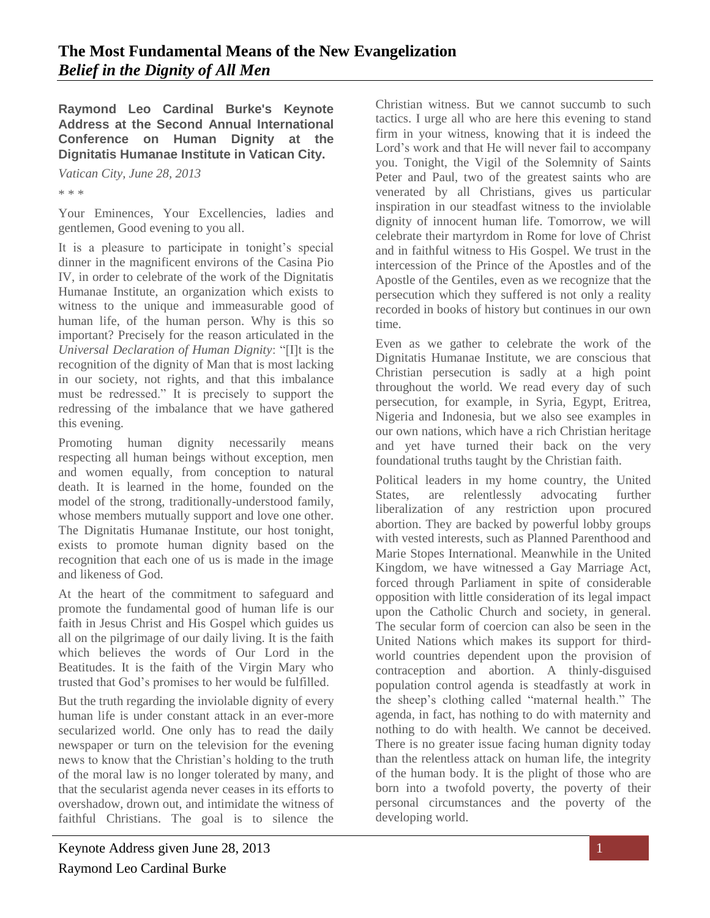**Raymond Leo Cardinal Burke's Keynote Address at the Second Annual International Conference on Human Dignity at the Dignitatis Humanae Institute in Vatican City.**

*Vatican City, June 28, 2013* 

\* \* \*

Your Eminences, Your Excellencies, ladies and gentlemen, Good evening to you all.

It is a pleasure to participate in tonight's special dinner in the magnificent environs of the Casina Pio IV, in order to celebrate of the work of the Dignitatis Humanae Institute, an organization which exists to witness to the unique and immeasurable good of human life, of the human person. Why is this so important? Precisely for the reason articulated in the *Universal Declaration of Human Dignity*: "[I]t is the recognition of the dignity of Man that is most lacking in our society, not rights, and that this imbalance must be redressed." It is precisely to support the redressing of the imbalance that we have gathered this evening.

Promoting human dignity necessarily means respecting all human beings without exception, men and women equally, from conception to natural death. It is learned in the home, founded on the model of the strong, traditionally-understood family, whose members mutually support and love one other. The Dignitatis Humanae Institute, our host tonight, exists to promote human dignity based on the recognition that each one of us is made in the image and likeness of God.

At the heart of the commitment to safeguard and promote the fundamental good of human life is our faith in Jesus Christ and His Gospel which guides us all on the pilgrimage of our daily living. It is the faith which believes the words of Our Lord in the Beatitudes. It is the faith of the Virgin Mary who trusted that God's promises to her would be fulfilled.

But the truth regarding the inviolable dignity of every human life is under constant attack in an ever-more secularized world. One only has to read the daily newspaper or turn on the television for the evening news to know that the Christian's holding to the truth of the moral law is no longer tolerated by many, and that the secularist agenda never ceases in its efforts to overshadow, drown out, and intimidate the witness of faithful Christians. The goal is to silence the

tactics. I urge all who are here this evening to stand firm in your witness, knowing that it is indeed the Lord's work and that He will never fail to accompany you. Tonight, the Vigil of the Solemnity of Saints Peter and Paul, two of the greatest saints who are venerated by all Christians, gives us particular inspiration in our steadfast witness to the inviolable dignity of innocent human life. Tomorrow, we will celebrate their martyrdom in Rome for love of Christ and in faithful witness to His Gospel. We trust in the intercession of the Prince of the Apostles and of the Apostle of the Gentiles, even as we recognize that the persecution which they suffered is not only a reality recorded in books of history but continues in our own time. Even as we gather to celebrate the work of the

Christian witness. But we cannot succumb to such

Dignitatis Humanae Institute, we are conscious that Christian persecution is sadly at a high point throughout the world. We read every day of such persecution, for example, in Syria, Egypt, Eritrea, Nigeria and Indonesia, but we also see examples in our own nations, which have a rich Christian heritage and yet have turned their back on the very foundational truths taught by the Christian faith.

Political leaders in my home country, the United States, are relentlessly advocating further liberalization of any restriction upon procured abortion. They are backed by powerful lobby groups with vested interests, such as Planned Parenthood and Marie Stopes International. Meanwhile in the United Kingdom, we have witnessed a Gay Marriage Act, forced through Parliament in spite of considerable opposition with little consideration of its legal impact upon the Catholic Church and society, in general. The secular form of coercion can also be seen in the United Nations which makes its support for thirdworld countries dependent upon the provision of contraception and abortion. A thinly-disguised population control agenda is steadfastly at work in the sheep's clothing called "maternal health." The agenda, in fact, has nothing to do with maternity and nothing to do with health. We cannot be deceived. There is no greater issue facing human dignity today than the relentless attack on human life, the integrity of the human body. It is the plight of those who are born into a twofold poverty, the poverty of their personal circumstances and the poverty of the developing world.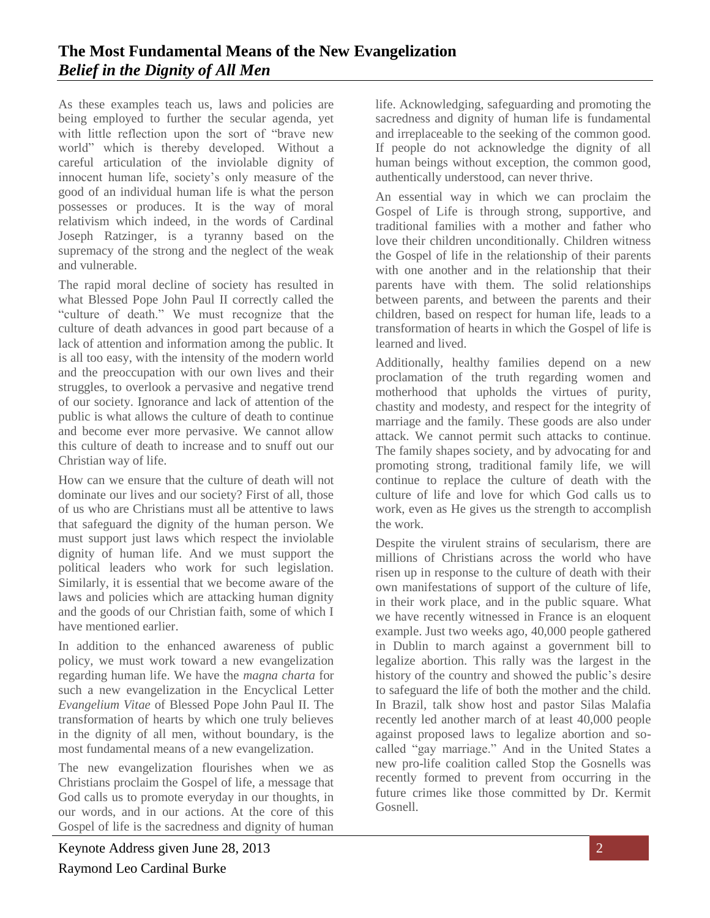As these examples teach us, laws and policies are being employed to further the secular agenda, yet with little reflection upon the sort of "brave new world" which is thereby developed. Without a careful articulation of the inviolable dignity of innocent human life, society's only measure of the good of an individual human life is what the person possesses or produces. It is the way of moral relativism which indeed, in the words of Cardinal Joseph Ratzinger, is a tyranny based on the supremacy of the strong and the neglect of the weak and vulnerable.

The rapid moral decline of society has resulted in what Blessed Pope John Paul II correctly called the "culture of death." We must recognize that the culture of death advances in good part because of a lack of attention and information among the public. It is all too easy, with the intensity of the modern world and the preoccupation with our own lives and their struggles, to overlook a pervasive and negative trend of our society. Ignorance and lack of attention of the public is what allows the culture of death to continue and become ever more pervasive. We cannot allow this culture of death to increase and to snuff out our Christian way of life.

How can we ensure that the culture of death will not dominate our lives and our society? First of all, those of us who are Christians must all be attentive to laws that safeguard the dignity of the human person. We must support just laws which respect the inviolable dignity of human life. And we must support the political leaders who work for such legislation. Similarly, it is essential that we become aware of the laws and policies which are attacking human dignity and the goods of our Christian faith, some of which I have mentioned earlier.

In addition to the enhanced awareness of public policy, we must work toward a new evangelization regarding human life. We have the *magna charta* for such a new evangelization in the Encyclical Letter *Evangelium Vitae* of Blessed Pope John Paul II. The transformation of hearts by which one truly believes in the dignity of all men, without boundary, is the most fundamental means of a new evangelization.

The new evangelization flourishes when we as Christians proclaim the Gospel of life, a message that God calls us to promote everyday in our thoughts, in our words, and in our actions. At the core of this Gospel of life is the sacredness and dignity of human life. Acknowledging, safeguarding and promoting the sacredness and dignity of human life is fundamental and irreplaceable to the seeking of the common good. If people do not acknowledge the dignity of all human beings without exception, the common good, authentically understood, can never thrive.

An essential way in which we can proclaim the Gospel of Life is through strong, supportive, and traditional families with a mother and father who love their children unconditionally. Children witness the Gospel of life in the relationship of their parents with one another and in the relationship that their parents have with them. The solid relationships between parents, and between the parents and their children, based on respect for human life, leads to a transformation of hearts in which the Gospel of life is learned and lived.

Additionally, healthy families depend on a new proclamation of the truth regarding women and motherhood that upholds the virtues of purity, chastity and modesty, and respect for the integrity of marriage and the family. These goods are also under attack. We cannot permit such attacks to continue. The family shapes society, and by advocating for and promoting strong, traditional family life, we will continue to replace the culture of death with the culture of life and love for which God calls us to work, even as He gives us the strength to accomplish the work.

Despite the virulent strains of secularism, there are millions of Christians across the world who have risen up in response to the culture of death with their own manifestations of support of the culture of life, in their work place, and in the public square. What we have recently witnessed in France is an eloquent example. Just two weeks ago, 40,000 people gathered in Dublin to march against a government bill to legalize abortion. This rally was the largest in the history of the country and showed the public's desire to safeguard the life of both the mother and the child. In Brazil, talk show host and pastor Silas Malafia recently led another march of at least 40,000 people against proposed laws to legalize abortion and socalled "gay marriage." And in the United States a new pro-life coalition called Stop the Gosnells was recently formed to prevent from occurring in the future crimes like those committed by Dr. Kermit Gosnell.